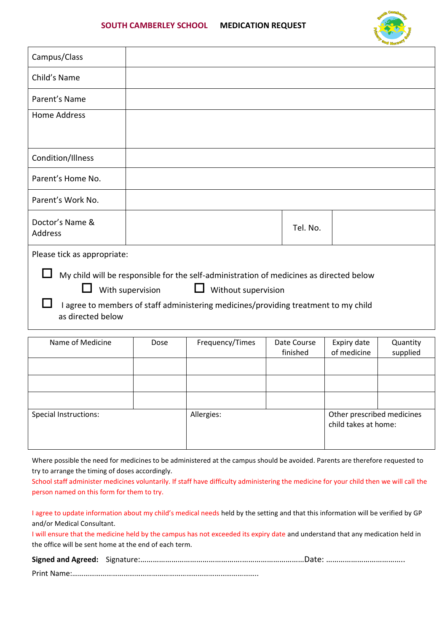

| Campus/Class                                                                                                                            |      |                 |                         |          |                                                    |                      |
|-----------------------------------------------------------------------------------------------------------------------------------------|------|-----------------|-------------------------|----------|----------------------------------------------------|----------------------|
| Child's Name                                                                                                                            |      |                 |                         |          |                                                    |                      |
| Parent's Name                                                                                                                           |      |                 |                         |          |                                                    |                      |
| Home Address                                                                                                                            |      |                 |                         |          |                                                    |                      |
|                                                                                                                                         |      |                 |                         |          |                                                    |                      |
| Condition/Illness                                                                                                                       |      |                 |                         |          |                                                    |                      |
| Parent's Home No.                                                                                                                       |      |                 |                         |          |                                                    |                      |
| Parent's Work No.                                                                                                                       |      |                 |                         |          |                                                    |                      |
| Doctor's Name &<br>Address                                                                                                              |      |                 |                         | Tel. No. |                                                    |                      |
| Please tick as appropriate:                                                                                                             |      |                 |                         |          |                                                    |                      |
| My child will be responsible for the self-administration of medicines as directed below<br>With supervision<br>ப<br>Without supervision |      |                 |                         |          |                                                    |                      |
| I agree to members of staff administering medicines/providing treatment to my child<br>as directed below                                |      |                 |                         |          |                                                    |                      |
| Name of Medicine                                                                                                                        | Dose | Frequency/Times | Date Course<br>finished |          | Expiry date<br>of medicine                         | Quantity<br>supplied |
|                                                                                                                                         |      |                 |                         |          |                                                    |                      |
|                                                                                                                                         |      |                 |                         |          |                                                    |                      |
| Special Instructions:                                                                                                                   |      | Allergies:      |                         |          | Other prescribed medicines<br>child takes at home: |                      |

Where possible the need for medicines to be administered at the campus should be avoided. Parents are therefore requested to try to arrange the timing of doses accordingly.

School staff administer medicines voluntarily. If staff have difficulty administering the medicine for your child then we will call the person named on this form for them to try.

I agree to update information about my child's medical needs held by the setting and that this information will be verified by GP and/or Medical Consultant.

I will ensure that the medicine held by the campus has not exceeded its expiry date and understand that any medication held in the office will be sent home at the end of each term.

| Print Name: |  |
|-------------|--|